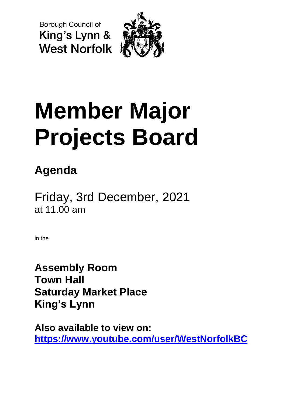**Borough Council of** King's Lynn & **West Norfolk** 



# **Member Major Projects Board**

## **Agenda**

Friday, 3rd December, 2021 at 11.00 am

in the

**Assembly Room Town Hall Saturday Market Place King's Lynn**

**Also available to view on: <https://www.youtube.com/user/WestNorfolkBC>**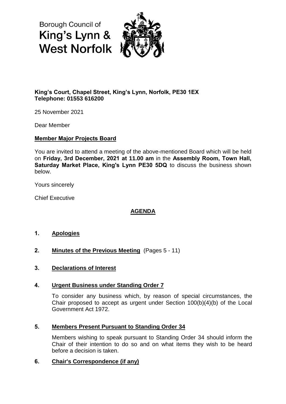Borough Council of King's Lynn & **West Norfolk** 



#### **King's Court, Chapel Street, King's Lynn, Norfolk, PE30 1EX Telephone: 01553 616200**

25 November 2021

Dear Member

#### **Member Major Projects Board**

You are invited to attend a meeting of the above-mentioned Board which will be held on **Friday, 3rd December, 2021 at 11.00 am** in the **Assembly Room, Town Hall, Saturday Market Place, King's Lynn PE30 5DQ** to discuss the business shown below.

Yours sincerely

Chief Executive

#### **AGENDA**

#### **1. Apologies**

- **2. Minutes of the Previous Meeting** (Pages 5 11)
- **3. Declarations of Interest**

#### **4. Urgent Business under Standing Order 7**

To consider any business which, by reason of special circumstances, the Chair proposed to accept as urgent under Section 100(b)(4)(b) of the Local Government Act 1972.

#### **5. Members Present Pursuant to Standing Order 34**

Members wishing to speak pursuant to Standing Order 34 should inform the Chair of their intention to do so and on what items they wish to be heard before a decision is taken.

#### **6. Chair's Correspondence (if any)**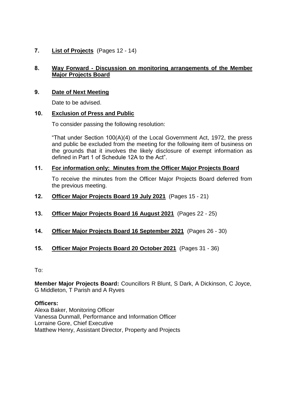#### **7. List of Projects** (Pages 12 - 14)

#### **8. Way Forward - Discussion on monitoring arrangements of the Member Major Projects Board**

#### **9. Date of Next Meeting**

Date to be advised.

#### **10. Exclusion of Press and Public**

To consider passing the following resolution:

"That under Section 100(A)(4) of the Local Government Act, 1972, the press and public be excluded from the meeting for the following item of business on the grounds that it involves the likely disclosure of exempt information as defined in Part 1 of Schedule 12A to the Act".

#### **11. For information only: Minutes from the Officer Major Projects Board**

To receive the minutes from the Officer Major Projects Board deferred from the previous meeting.

- **12. Officer Major Projects Board 19 July 2021** (Pages 15 21)
- **13. Officer Major Projects Board 16 August 2021** (Pages 22 25)
- **14. Officer Major Projects Board 16 September 2021** (Pages 26 30)
- **15. Officer Major Projects Board 20 October 2021** (Pages 31 36)

To:

**Member Major Projects Board:** Councillors R Blunt, S Dark, A Dickinson, C Joyce, G Middleton, T Parish and A Ryves

#### **Officers:**

Alexa Baker, Monitoring Officer Vanessa Dunmall, Performance and Information Officer Lorraine Gore, Chief Executive Matthew Henry, Assistant Director, Property and Projects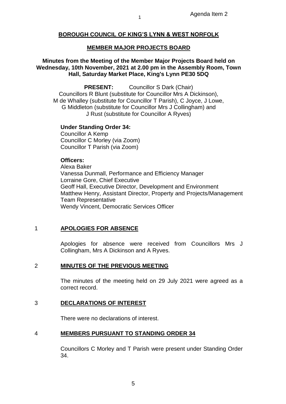#### **MEMBER MAJOR PROJECTS BOARD**

#### **Minutes from the Meeting of the Member Major Projects Board held on Wednesday, 10th November, 2021 at 2.00 pm in the Assembly Room, Town Hall, Saturday Market Place, King's Lynn PE30 5DQ**

**PRESENT:** Councillor S Dark (Chair) Councillors R Blunt (substitute for Councillor Mrs A Dickinson), M de Whalley (substitute for Councillor T Parish), C Joyce, J Lowe, G Middleton (substitute for Councillor Mrs J Collingham) and J Rust (substitute for Councillor A Ryves)

#### **Under Standing Order 34:**

Councillor A Kemp Councillor C Morley (via Zoom) Councillor T Parish (via Zoom)

#### **Officers:**

Alexa Baker Vanessa Dunmall, Performance and Efficiency Manager Lorraine Gore, Chief Executive Geoff Hall, Executive Director, Development and Environment Matthew Henry, Assistant Director, Property and Projects/Management Team Representative Wendy Vincent, Democratic Services Officer

#### 1 **APOLOGIES FOR ABSENCE**

Apologies for absence were received from Councillors Mrs J Collingham, Mrs A Dickinson and A Ryves.

#### 2 **MINUTES OF THE PREVIOUS MEETING**

The minutes of the meeting held on 29 July 2021 were agreed as a correct record.

#### 3 **DECLARATIONS OF INTEREST**

There were no declarations of interest.

#### 4 **MEMBERS PURSUANT TO STANDING ORDER 34**

Councillors C Morley and T Parish were present under Standing Order 34.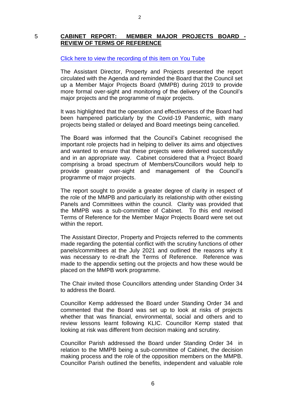#### 5 **CABINET REPORT: MEMBER MAJOR PROJECTS BOARD - REVIEW OF TERMS OF REFERENCE**

#### [Click here to view the recording of this item on You Tube](https://youtu.be/h4mpQ16i0VM?t=439)

The Assistant Director, Property and Projects presented the report circulated with the Agenda and reminded the Board that the Council set up a Member Major Projects Board (MMPB) during 2019 to provide more formal over-sight and monitoring of the delivery of the Council's major projects and the programme of major projects.

It was highlighted that the operation and effectiveness of the Board had been hampered particularly by the Covid-19 Pandemic, with many projects being stalled or delayed and Board meetings being cancelled.

The Board was informed that the Council's Cabinet recognised the important role projects had in helping to deliver its aims and objectives and wanted to ensure that these projects were delivered successfully and in an appropriate way. Cabinet considered that a Project Board comprising a broad spectrum of Members/Councillors would help to provide greater over-sight and management of the Council's programme of major projects.

The report sought to provide a greater degree of clarity in respect of the role of the MMPB and particularly its relationship with other existing Panels and Committees within the council. Clarity was provided that the MMPB was a sub-committee of Cabinet. To this end revised Terms of Reference for the Member Major Projects Board were set out within the report.

The Assistant Director, Property and Projects referred to the comments made regarding the potential conflict with the scrutiny functions of other panels/committees at the July 2021 and outlined the reasons why it was necessary to re-draft the Terms of Reference. Reference was made to the appendix setting out the projects and how these would be placed on the MMPB work programme.

The Chair invited those Councillors attending under Standing Order 34 to address the Board.

Councillor Kemp addressed the Board under Standing Order 34 and commented that the Board was set up to look at risks of projects whether that was financial, environmental, social and others and to review lessons learnt following KLIC. Councillor Kemp stated that looking at risk was different from decision making and scrutiny.

Councillor Parish addressed the Board under Standing Order 34 in relation to the MMPB being a sub-committee of Cabinet, the decision making process and the role of the opposition members on the MMPB. Councillor Parish outlined the benefits, independent and valuable role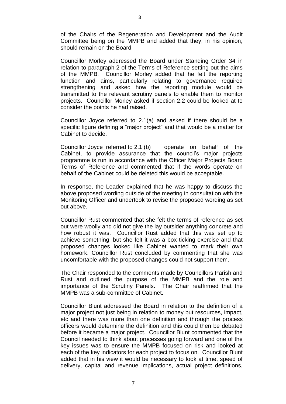of the Chairs of the Regeneration and Development and the Audit Committee being on the MMPB and added that they, in his opinion, should remain on the Board.

Councillor Morley addressed the Board under Standing Order 34 in relation to paragraph 2 of the Terms of Reference setting out the aims of the MMPB. Councillor Morley added that he felt the reporting function and aims, particularly relating to governance required strengthening and asked how the reporting module would be transmitted to the relevant scrutiny panels to enable them to monitor projects. Councillor Morley asked if section 2.2 could be looked at to consider the points he had raised.

Councillor Joyce referred to 2.1(a) and asked if there should be a specific figure defining a "major project" and that would be a matter for Cabinet to decide.

Councillor Joyce referred to 2.1 (b) operate on behalf of the Cabinet, to provide assurance that the council's major projects programme is run in accordance with the Officer Major Projects Board Terms of Reference and commented that if the words operate on behalf of the Cabinet could be deleted this would be acceptable.

In response, the Leader explained that he was happy to discuss the above proposed wording outside of the meeting in consultation with the Monitoring Officer and undertook to revise the proposed wording as set out above.

Councillor Rust commented that she felt the terms of reference as set out were woolly and did not give the lay outsider anything concrete and how robust it was. Councillor Rust added that this was set up to achieve something, but she felt it was a box ticking exercise and that proposed changes looked like Cabinet wanted to mark their own homework. Councillor Rust concluded by commenting that she was uncomfortable with the proposed changes could not support them.

The Chair responded to the comments made by Councillors Parish and Rust and outlined the purpose of the MMPB and the role and importance of the Scrutiny Panels. The Chair reaffirmed that the MMPB was a sub-committee of Cabinet.

Councillor Blunt addressed the Board in relation to the definition of a major project not just being in relation to money but resources, impact, etc and there was more than one definition and through the process officers would determine the definition and this could then be debated before it became a major project. Councillor Blunt commented that the Council needed to think about processes going forward and one of the key issues was to ensure the MMPB focused on risk and looked at each of the key indicators for each project to focus on. Councillor Blunt added that in his view it would be necessary to look at time, speed of delivery, capital and revenue implications, actual project definitions,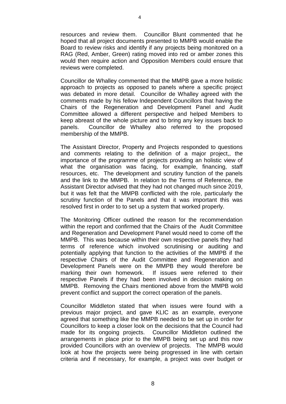resources and review them. Councillor Blunt commented that he hoped that all project documents presented to MMPB would enable the Board to review risks and identify if any projects being monitored on a RAG (Red, Amber, Green) rating moved into red or amber zones this would then require action and Opposition Members could ensure that reviews were completed.

Councillor de Whalley commented that the MMPB gave a more holistic approach to projects as opposed to panels where a specific project was debated in more detail. Councillor de Whalley agreed with the comments made by his fellow Independent Councillors that having the Chairs of the Regeneration and Development Panel and Audit Committee allowed a different perspective and helped Members to keep abreast of the whole picture and to bring any key issues back to panels. Councillor de Whalley also referred to the proposed membership of the MMPB.

The Assistant Director, Property and Projects responded to questions and comments relating to the definition of a major project,, the importance of the programme of projects providing an holistic view of what the organisation was facing, for example, financing, staff resources, etc. The development and scrutiny function of the panels and the link to the MMPB. In relation to the Terms of Reference, the Assistant Director advised that they had not changed much since 2019, but it was felt that the MMPB conflicted with the role, particularly the scrutiny function of the Panels and that it was important this was resolved first in order to to set up a system that worked properly.

The Monitoring Officer outlined the reason for the recommendation within the report and confirmed that the Chairs of the Audit Committee and Regeneration and Development Panel would need to come off the MMPB. This was because within their own respective panels they had terms of reference which involved scrutinising or auditing and potentially applying that function to the activities of the MMPB if the respective Chairs of the Audit Committee and Regeneration and Development Panels were on the MMPB they would therefore be marking their own homework. If issues were referred to their respective Panels if they had been involved in decision making on MMPB. Removing the Chairs mentioned above from the MMPB wold prevent conflict and support the correct operation of the panels.

Councillor Middleton stated that when issues were found with a previous major project, and gave KLIC as an example, everyone agreed that something like the MMPB needed to be set up in order for Councillors to keep a closer look on the decisions that the Council had made for its ongoing projects. Councillor Middleton outlined the arrangements in place prior to the MMPB being set up and this now provided Councillors with an overview of projects. The MMPB would look at how the projects were being progressed in line with certain criteria and if necessary, for example, a project was over budget or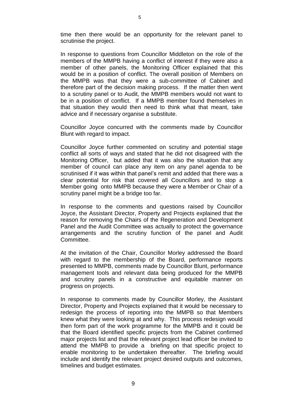time then there would be an opportunity for the relevant panel to scrutinise the project.

In response to questions from Councillor Middleton on the role of the members of the MMPB having a conflict of interest if they were also a member of other panels, the Monitoring Officer explained that this would be in a position of conflict. The overall position of Members on the MMPB was that they were a sub-committee of Cabinet and therefore part of the decision making process. If the matter then went to a scrutiny panel or to Audit, the MMPB members would not want to be in a position of conflict. If a MMPB member found themselves in that situation they would then need to think what that meant, take advice and if necessary organise a substitute.

Councillor Joyce concurred with the comments made by Councillor Blunt with regard to impact.

Councillor Joyce further commented on scrutiny and potential stage conflict all sorts of ways and stated that he did not disagreed with the Monitoring Officer, but added that it was also the situation that any member of council can place any item on any panel agenda to be scrutinised if it was within that panel's remit and added that there was a clear potential for risk that covered all Councillors and to stop a Member going onto MMPB because they were a Member or Chair of a scrutiny panel might be a bridge too far.

In response to the comments and questions raised by Councillor Joyce, the Assistant Director, Property and Projects explained that the reason for removing the Chairs of the Regeneration and Development Panel and the Audit Committee was actually to protect the governance arrangements and the scrutiny function of the panel and Audit Committee.

At the invitation of the Chair, Councillor Morley addressed the Board with regard to the membership of the Board, performance reports presented to MMPB, comments made by Councillor Blunt, performance management tools and relevant data being produced for the MMPB and scrutiny panels in a constructive and equitable manner on progress on projects.

In response to comments made by Councillor Morley, the Assistant Director, Property and Projects explained that it would be necessary to redesign the process of reporting into the MMPB so that Members knew what they were looking at and why. This process redesign would then form part of the work programme for the MMPB and it could be that the Board identified specific projects from the Cabinet confirmed major projects list and that the relevant project lead officer be invited to attend the MMPB to provide a briefing on that specific project to enable monitoring to be undertaken thereafter. The briefing would include and identify the relevant project desired outputs and outcomes, timelines and budget estimates.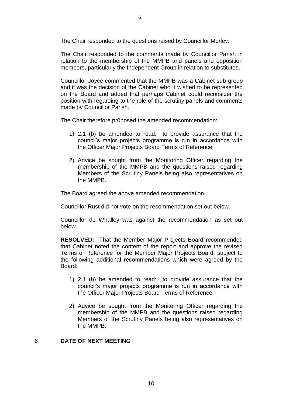The Chair responded to the questions raised by Councillor Morley.

The Chair responded to the comments made by Councillor Parish in relation to the membership of the MMPB and panels and opposition members, particularly the Independent Group in relation to substitutes.

Councillor Joyce commented that the MMPB was a Cabinet sub-group and it was the decision of the Cabinet who it wished to be represented on the Board and added that perhaps Cabinet could reconsider the position with regarding to the role of the scrutiny panels and comments made by Councillor Parish.

The Chair therefore pr0posed the amended recommendation:

- 1) 2.1 (b) be amended to read: to provide assurance that the council's major projects programme is run in accordance with the Officer Major Projects Board Terms of Reference.
- 2) Advice be sought from the Monitoring Officer regarding the membership of the MMPB and the questions raised regarding Members of the Scrutiny Panels being also representatives on the MMPB.

The Board agreed the above amended recommendation.

Councillor Rust did not vote on the recommendation set out below.

Councillor de Whalley was against the recommendation as set out below.

**RESOLVED:** That the Member Major Projects Board recommended that Cabinet noted the content of the report and approve the revised Terms of Reference for the Member Major Projects Board, subject to the following additional recommendations which were agreed by the Board:

- 1) 2.1 (b) be amended to read: to provide assurance that the council's major projects programme is run in accordance with the Officer Major Projects Board Terms of Reference.
- 2) Advice be sought from the Monitoring Officer regarding the membership of the MMPB and the questions raised regarding Members of the Scrutiny Panels being also representatives on the MMPB.

#### 6 **DATE OF NEXT MEETING**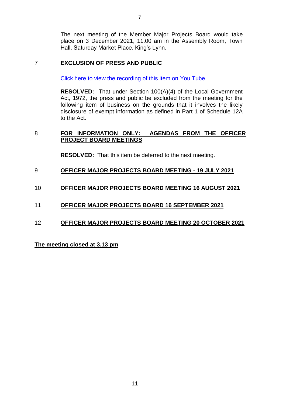The next meeting of the Member Major Projects Board would take place on 3 December 2021, 11.00 am in the Assembly Room, Town Hall, Saturday Market Place, King's Lynn.

#### 7 **EXCLUSION OF PRESS AND PUBLIC**

[Click here to view the recording of this item on You Tube](https://youtu.be/h4mpQ16i0VM?t=3708)

**RESOLVED:** That under Section 100(A)(4) of the Local Government Act, 1972, the press and public be excluded from the meeting for the following item of business on the grounds that it involves the likely disclosure of exempt information as defined in Part 1 of Schedule 12A to the Act.

#### 8 **FOR INFORMATION ONLY: AGENDAS FROM THE OFFICER PROJECT BOARD MEETINGS**

**RESOLVED:** That this item be deferred to the next meeting.

#### 9 **OFFICER MAJOR PROJECTS BOARD MEETING - 19 JULY 2021**

- 10 **OFFICER MAJOR PROJECTS BOARD MEETING 16 AUGUST 2021**
- 11 **OFFICER MAJOR PROJECTS BOARD 16 SEPTEMBER 2021**
- 12 **OFFICER MAJOR PROJECTS BOARD MEETING 20 OCTOBER 2021**

**The meeting closed at 3.13 pm**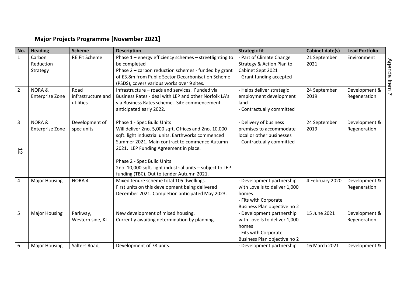### **Major Projects Programme [November 2021]**

| No.            | <b>Heading</b>                             | <b>Scheme</b>                           | <b>Description</b>                                                                                                                                                                         | <b>Strategic fit</b>                                                                                        | <b>Cabinet date(s)</b> | <b>Lead Portfolio</b>         |        |
|----------------|--------------------------------------------|-----------------------------------------|--------------------------------------------------------------------------------------------------------------------------------------------------------------------------------------------|-------------------------------------------------------------------------------------------------------------|------------------------|-------------------------------|--------|
| $\mathbf{1}$   | Carbon<br>Reduction                        | <b>RE:Fit Scheme</b>                    | Phase 1 - energy efficiency schemes - streetlighting to<br>be completed                                                                                                                    | - Part of Climate Change<br>Strategy & Action Plan to                                                       | 21 September<br>2021   | Environment                   | Agenda |
|                | Strategy                                   |                                         | Phase 2 - carbon reduction schemes - funded by grant<br>of £3.8m from Public Sector Decarbonisation Scheme                                                                                 | Cabinet Sept 2021<br>- Grant funding accepted                                                               |                        |                               |        |
|                |                                            |                                         | (PSDS), covers various works over 9 sites.                                                                                                                                                 |                                                                                                             |                        |                               | ltem   |
| $\overline{2}$ | NORA&<br>Enterprise Zone                   | Road<br>infrastructure and<br>utilities | Infrastructure - roads and services. Funded via<br>Business Rates - deal with LEP and other Norfolk LA's<br>via Business Rates scheme. Site commencement<br>anticipated early 2022.        | - Helps deliver strategic<br>employment development<br>land<br>- Contractually committed                    | 24 September<br>2019   | Development &<br>Regeneration |        |
|                |                                            |                                         |                                                                                                                                                                                            |                                                                                                             |                        |                               |        |
| $\mathbf{3}$   | <b>NORA&amp;</b><br><b>Enterprise Zone</b> | Development of<br>spec units            | Phase 1 - Spec Build Units<br>Will deliver 2no. 5,000 sqft. Offices and 2no. 10,000<br>sqft. light industrial units. Earthworks commenced<br>Summer 2021. Main contract to commence Autumn | - Delivery of business<br>premises to accommodate<br>local or other businesses<br>- Contractually committed | 24 September<br>2019   | Development &<br>Regeneration |        |
| $\vec{v}$      |                                            |                                         | 2021. LEP Funding Agreement in place.                                                                                                                                                      |                                                                                                             |                        |                               |        |
|                |                                            |                                         | Phase 2 - Spec Build Units<br>2no. 10,000 sqft. light industrial units - subject to LEP<br>funding (TBC). Out to tender Autumn 2021.                                                       |                                                                                                             |                        |                               |        |
| 4              | <b>Major Housing</b>                       | NORA 4                                  | Mixed tenure scheme total 105 dwellings.<br>First units on this development being delivered<br>December 2021. Completion anticipated May 2023.                                             | - Development partnership<br>with Lovells to deliver 1,000<br>homes<br>- Fits with Corporate                | 4 February 2020        | Development &<br>Regeneration |        |
| 5              | <b>Major Housing</b>                       | Parkway,<br>Western side, KL            | New development of mixed housing.<br>Currently awaiting determination by planning.                                                                                                         | Business Plan objective no 2<br>- Development partnership<br>with Lovells to deliver 1,000<br>homes         | 15 June 2021           | Development &<br>Regeneration |        |
| 6              |                                            | Salters Road,                           | Development of 78 units.                                                                                                                                                                   | - Fits with Corporate<br>Business Plan objective no 2<br>- Development partnership                          | 16 March 2021          | Development &                 |        |
|                | <b>Major Housing</b>                       |                                         |                                                                                                                                                                                            |                                                                                                             |                        |                               |        |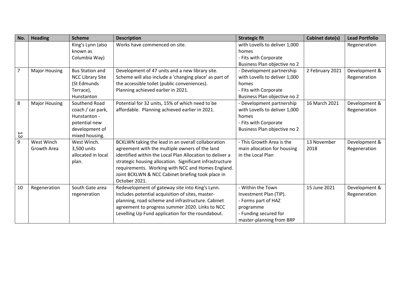| No.            | <b>Heading</b>       | <b>Scheme</b>           | <b>Description</b>                                       | <b>Strategic fit</b>          | <b>Cabinet date(s)</b> | <b>Lead Portfolio</b> |
|----------------|----------------------|-------------------------|----------------------------------------------------------|-------------------------------|------------------------|-----------------------|
|                |                      | King's Lynn (also       | Works have commenced on site.                            | with Lovells to deliver 1,000 |                        | Regeneration          |
|                |                      | known as                |                                                          | homes                         |                        |                       |
|                |                      | Columbia Way)           |                                                          | - Fits with Corporate         |                        |                       |
|                |                      |                         |                                                          | Business Plan objective no 2  |                        |                       |
| $\overline{7}$ | <b>Major Housing</b> | <b>Bus Station and</b>  | Development of 47 units and a new library site.          | - Development partnership     | 2 February 2021        | Development &         |
|                |                      | <b>NCC Library Site</b> | Scheme will also include a 'changing place' as part of   | with Lovells to deliver 1,000 |                        | Regeneration          |
|                |                      | (St Edmunds             | the accessible toilet (public conveniences).             | homes                         |                        |                       |
|                |                      | Terrace),               | Planning achieved earlier in 2021.                       | - Fits with Corporate         |                        |                       |
|                |                      | Hunstanton              |                                                          | Business Plan objective no 2  |                        |                       |
| 8              | <b>Major Housing</b> | Southend Road           | Potential for 32 units, 15% of which need to be          | - Development partnership     | 16 March 2021          | Development &         |
|                |                      | coach / car park,       | affordable. Planning achieved earlier in 2021.           | with Lovells to deliver 1,000 |                        | Regeneration          |
|                |                      | Hunstanton -            |                                                          | homes                         |                        |                       |
|                |                      | potential new           |                                                          | - Fits with Corporate         |                        |                       |
|                |                      | development of          |                                                          | Business Plan objective no 2  |                        |                       |
| $\vec{\omega}$ |                      | mixed housing.          |                                                          |                               |                        |                       |
| 9              | West Winch           | West Winch.             | BCKLWN taking the lead in an overall collaboration       | - This Growth Area is the     | 13 November            | Development &         |
|                | Growth Area          | 3,500 units             | agreement with the multiple owners of the land           | main allocation for housing   | 2018                   | Regeneration          |
|                |                      | allocated in local      | identified within the Local Plan Allocation to deliver a | in the Local Plan             |                        |                       |
|                |                      | plan.                   | strategic housing allocation. Significant infrastructure |                               |                        |                       |
|                |                      |                         | requirements. Working with NCC and Homes England.        |                               |                        |                       |
|                |                      |                         | Joint BCKLWN & NCC Cabinet briefing took place in        |                               |                        |                       |
|                |                      |                         | October 2021.                                            |                               |                        |                       |
| 10             | Regeneration         | South Gate area         | Redevelopment of gateway site into King's Lynn.          | - Within the Town             | 15 June 2021           | Development &         |
|                |                      | regeneration            | Includes potential acquisition of sites, master-         | Investment Plan (TIP).        |                        | Regeneration          |
|                |                      |                         | planning, road scheme and infrastructure. Cabinet        | - Forms part of HAZ           |                        |                       |
|                |                      |                         | agreement to progress summer 2020. Links to NCC          | programme                     |                        |                       |
|                |                      |                         | Levelling Up Fund application for the roundabout.        | - Funding secured for         |                        |                       |
|                |                      |                         |                                                          | master-planning from BRP      |                        |                       |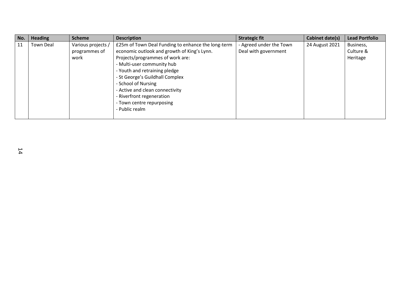| No. | <b>Heading</b> | <b>Scheme</b>      | <b>Description</b>                                 | <b>Strategic fit</b>    | Cabinet date(s) | <b>Lead Portfolio</b> |
|-----|----------------|--------------------|----------------------------------------------------|-------------------------|-----------------|-----------------------|
| 11  | Town Deal      | Various projects / | £25m of Town Deal Funding to enhance the long-term | - Agreed under the Town | 24 August 2021  | Business,             |
|     |                | programmes of      | economic outlook and growth of King's Lynn.        | Deal with government    |                 | Culture &             |
|     |                | work               | Projects/programmes of work are:                   |                         |                 | Heritage              |
|     |                |                    | - Multi-user community hub                         |                         |                 |                       |
|     |                |                    | - Youth and retraining pledge                      |                         |                 |                       |
|     |                |                    | - St George's Guildhall Complex                    |                         |                 |                       |
|     |                |                    | - School of Nursing                                |                         |                 |                       |
|     |                |                    | - Active and clean connectivity                    |                         |                 |                       |
|     |                |                    | - Riverfront regeneration                          |                         |                 |                       |
|     |                |                    | - Town centre repurposing                          |                         |                 |                       |
|     |                |                    | - Public realm                                     |                         |                 |                       |
|     |                |                    |                                                    |                         |                 |                       |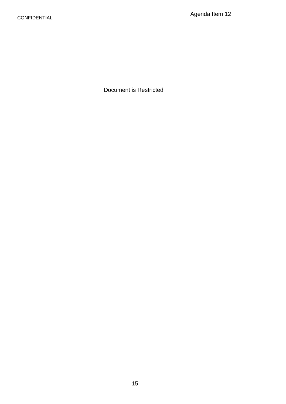Document is Restricted Agenda Item 12<br>
Document is Restricted<br>
Document is Restricted<br>
15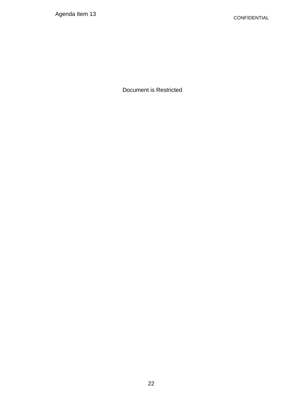Document is Restricted Agenda Item 13 CONFIDENTIAL<br>Document is Restricted<br>22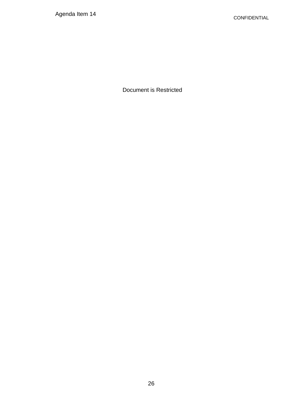Document is Restricted Agenda Item 14 CONFIDENTIAL<br>Document is Restricted<br>26